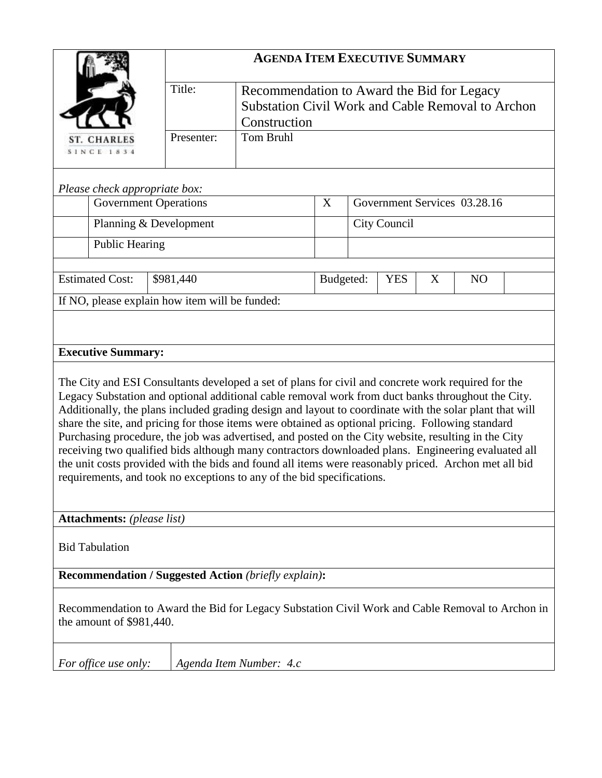|                                                                                                                                                                                                                                                                                                                                                                                                                                                                                                                                                                                                                                                                                                                                                                                                                        | <b>AGENDA ITEM EXECUTIVE SUMMARY</b>                                                                                      |                         |   |                              |   |                |  |  |  |  |
|------------------------------------------------------------------------------------------------------------------------------------------------------------------------------------------------------------------------------------------------------------------------------------------------------------------------------------------------------------------------------------------------------------------------------------------------------------------------------------------------------------------------------------------------------------------------------------------------------------------------------------------------------------------------------------------------------------------------------------------------------------------------------------------------------------------------|---------------------------------------------------------------------------------------------------------------------------|-------------------------|---|------------------------------|---|----------------|--|--|--|--|
|                                                                                                                                                                                                                                                                                                                                                                                                                                                                                                                                                                                                                                                                                                                                                                                                                        | Title:<br>Recommendation to Award the Bid for Legacy<br>Substation Civil Work and Cable Removal to Archon<br>Construction |                         |   |                              |   |                |  |  |  |  |
| <b>ST. CHARLES</b><br><b>SINCE 1834</b>                                                                                                                                                                                                                                                                                                                                                                                                                                                                                                                                                                                                                                                                                                                                                                                | <b>Tom Bruhl</b><br>Presenter:                                                                                            |                         |   |                              |   |                |  |  |  |  |
| Please check appropriate box:                                                                                                                                                                                                                                                                                                                                                                                                                                                                                                                                                                                                                                                                                                                                                                                          |                                                                                                                           |                         |   |                              |   |                |  |  |  |  |
| <b>Government Operations</b>                                                                                                                                                                                                                                                                                                                                                                                                                                                                                                                                                                                                                                                                                                                                                                                           |                                                                                                                           |                         | X | Government Services 03.28.16 |   |                |  |  |  |  |
| Planning & Development                                                                                                                                                                                                                                                                                                                                                                                                                                                                                                                                                                                                                                                                                                                                                                                                 |                                                                                                                           |                         |   | City Council                 |   |                |  |  |  |  |
| <b>Public Hearing</b>                                                                                                                                                                                                                                                                                                                                                                                                                                                                                                                                                                                                                                                                                                                                                                                                  |                                                                                                                           |                         |   |                              |   |                |  |  |  |  |
| <b>Estimated Cost:</b>                                                                                                                                                                                                                                                                                                                                                                                                                                                                                                                                                                                                                                                                                                                                                                                                 | \$981,440                                                                                                                 | Budgeted:               |   | <b>YES</b>                   | X | N <sub>O</sub> |  |  |  |  |
| If NO, please explain how item will be funded:                                                                                                                                                                                                                                                                                                                                                                                                                                                                                                                                                                                                                                                                                                                                                                         |                                                                                                                           |                         |   |                              |   |                |  |  |  |  |
|                                                                                                                                                                                                                                                                                                                                                                                                                                                                                                                                                                                                                                                                                                                                                                                                                        |                                                                                                                           |                         |   |                              |   |                |  |  |  |  |
| <b>Executive Summary:</b>                                                                                                                                                                                                                                                                                                                                                                                                                                                                                                                                                                                                                                                                                                                                                                                              |                                                                                                                           |                         |   |                              |   |                |  |  |  |  |
| The City and ESI Consultants developed a set of plans for civil and concrete work required for the<br>Legacy Substation and optional additional cable removal work from duct banks throughout the City.<br>Additionally, the plans included grading design and layout to coordinate with the solar plant that will<br>share the site, and pricing for those items were obtained as optional pricing. Following standard<br>Purchasing procedure, the job was advertised, and posted on the City website, resulting in the City<br>receiving two qualified bids although many contractors downloaded plans. Engineering evaluated all<br>the unit costs provided with the bids and found all items were reasonably priced. Archon met all bid<br>requirements, and took no exceptions to any of the bid specifications. |                                                                                                                           |                         |   |                              |   |                |  |  |  |  |
| <b>Attachments:</b> (please list)                                                                                                                                                                                                                                                                                                                                                                                                                                                                                                                                                                                                                                                                                                                                                                                      |                                                                                                                           |                         |   |                              |   |                |  |  |  |  |
| <b>Bid Tabulation</b>                                                                                                                                                                                                                                                                                                                                                                                                                                                                                                                                                                                                                                                                                                                                                                                                  |                                                                                                                           |                         |   |                              |   |                |  |  |  |  |
| <b>Recommendation / Suggested Action (briefly explain):</b>                                                                                                                                                                                                                                                                                                                                                                                                                                                                                                                                                                                                                                                                                                                                                            |                                                                                                                           |                         |   |                              |   |                |  |  |  |  |
| Recommendation to Award the Bid for Legacy Substation Civil Work and Cable Removal to Archon in<br>the amount of \$981,440.                                                                                                                                                                                                                                                                                                                                                                                                                                                                                                                                                                                                                                                                                            |                                                                                                                           |                         |   |                              |   |                |  |  |  |  |
| For office use only:                                                                                                                                                                                                                                                                                                                                                                                                                                                                                                                                                                                                                                                                                                                                                                                                   |                                                                                                                           | Agenda Item Number: 4.c |   |                              |   |                |  |  |  |  |